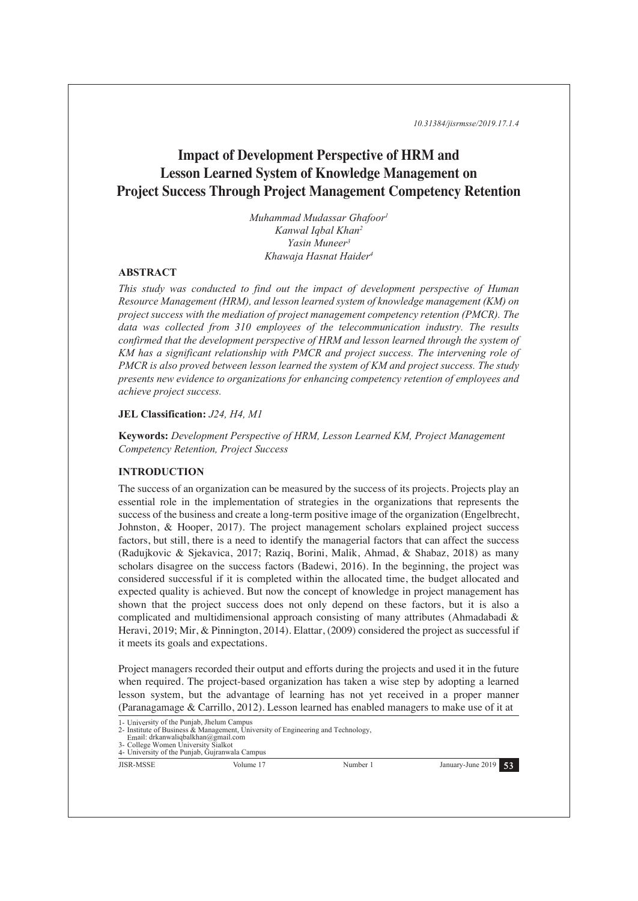*10.31384/jisrmsse/2019.17.1.4*

# **Impact of Development Perspective of HRM and Lesson Learned System of Knowledge Management on Project Success Through Project Management Competency Retention**

*Muhammad Mudassar Ghafoor1 Kanwal Iqbal Khan2 Yasin Muneer3 Khawaja Hasnat Haider4*

## **ABSTRACT**

*This study was conducted to find out the impact of development perspective of Human Resource Management (HRM), and lesson learned system of knowledge management (KM) on project success with the mediation of project management competency retention (PMCR). The data was collected from 310 employees of the telecommunication industry. The results confirmed that the development perspective of HRM and lesson learned through the system of KM has a significant relationship with PMCR and project success. The intervening role of PMCR is also proved between lesson learned the system of KM and project success. The study presents new evidence to organizations for enhancing competency retention of employees and achieve project success.* 

#### **JEL Classification:** *J24, H4, M1*

**Keywords:** *Development Perspective of HRM, Lesson Learned KM, Project Management Competency Retention, Project Success* 

# **INTRODUCTION**

The success of an organization can be measured by the success of its projects. Projects play an essential role in the implementation of strategies in the organizations that represents the success of the business and create a long-term positive image of the organization (Engelbrecht, Johnston, & Hooper, 2017). The project management scholars explained project success factors, but still, there is a need to identify the managerial factors that can affect the success (Radujkovic & Sjekavica, 2017; Raziq, Borini, Malik, Ahmad, & Shabaz, 2018) as many scholars disagree on the success factors (Badewi, 2016). In the beginning, the project was considered successful if it is completed within the allocated time, the budget allocated and expected quality is achieved. But now the concept of knowledge in project management has shown that the project success does not only depend on these factors, but it is also a complicated and multidimensional approach consisting of many attributes (Ahmadabadi & Heravi, 2019; Mir, & Pinnington, 2014). Elattar, (2009) considered the project as successful if it meets its goals and expectations.

Project managers recorded their output and efforts during the projects and used it in the future when required. The project-based organization has taken a wise step by adopting a learned lesson system, but the advantage of learning has not yet received in a proper manner (Paranagamage & Carrillo, 2012). Lesson learned has enabled managers to make use of it at

 Email: drkanwaliqbalkhan@gmail.com College Women University Sialkot

4- University of the Punjab, Gujranwala Campus



<sup>1-</sup> University of the Punjab, Jhelum Campus 2- Institute of Business & Management, University of Engineering and Technology,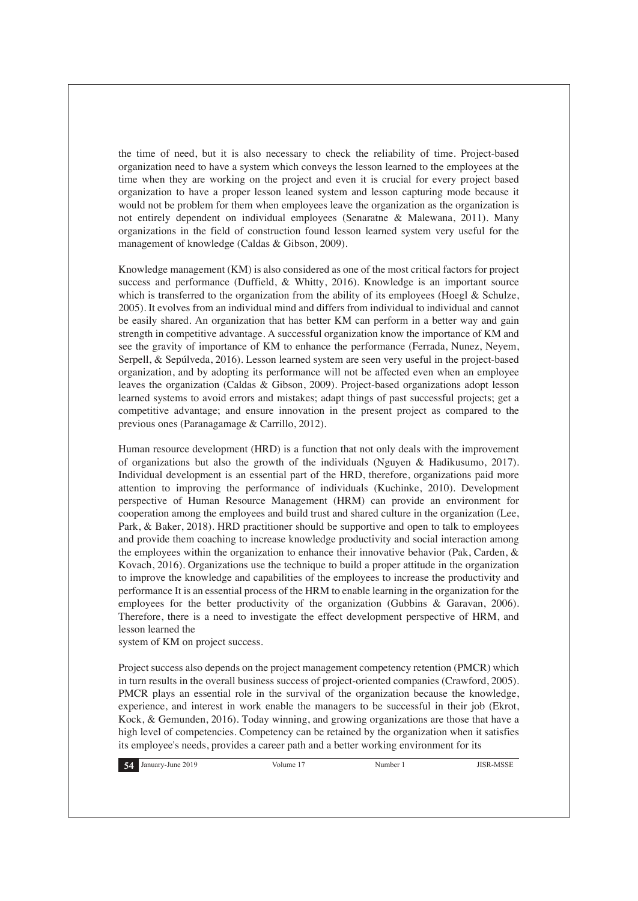the time of need, but it is also necessary to check the reliability of time. Project-based organization need to have a system which conveys the lesson learned to the employees at the time when they are working on the project and even it is crucial for every project based organization to have a proper lesson leaned system and lesson capturing mode because it would not be problem for them when employees leave the organization as the organization is not entirely dependent on individual employees (Senaratne & Malewana, 2011). Many organizations in the field of construction found lesson learned system very useful for the management of knowledge (Caldas & Gibson, 2009).

Knowledge management (KM) is also considered as one of the most critical factors for project success and performance (Duffield, & Whitty, 2016). Knowledge is an important source which is transferred to the organization from the ability of its employees (Hoegl  $\&$  Schulze, 2005). It evolves from an individual mind and differs from individual to individual and cannot be easily shared. An organization that has better KM can perform in a better way and gain strength in competitive advantage. A successful organization know the importance of KM and see the gravity of importance of KM to enhance the performance (Ferrada, Nunez, Neyem, Serpell, & Sepúlveda, 2016). Lesson learned system are seen very useful in the project-based organization, and by adopting its performance will not be affected even when an employee leaves the organization (Caldas & Gibson, 2009). Project-based organizations adopt lesson learned systems to avoid errors and mistakes; adapt things of past successful projects; get a competitive advantage; and ensure innovation in the present project as compared to the previous ones (Paranagamage & Carrillo, 2012).

Human resource development (HRD) is a function that not only deals with the improvement of organizations but also the growth of the individuals (Nguyen & Hadikusumo, 2017). Individual development is an essential part of the HRD, therefore, organizations paid more attention to improving the performance of individuals (Kuchinke, 2010). Development perspective of Human Resource Management (HRM) can provide an environment for cooperation among the employees and build trust and shared culture in the organization (Lee, Park, & Baker, 2018). HRD practitioner should be supportive and open to talk to employees and provide them coaching to increase knowledge productivity and social interaction among the employees within the organization to enhance their innovative behavior (Pak, Carden, & Kovach, 2016). Organizations use the technique to build a proper attitude in the organization to improve the knowledge and capabilities of the employees to increase the productivity and performance It is an essential process of the HRM to enable learning in the organization for the employees for the better productivity of the organization (Gubbins & Garavan, 2006). Therefore, there is a need to investigate the effect development perspective of HRM, and lesson learned the

system of KM on project success.

Project success also depends on the project management competency retention (PMCR) which in turn results in the overall business success of project-oriented companies (Crawford, 2005). PMCR plays an essential role in the survival of the organization because the knowledge, experience, and interest in work enable the managers to be successful in their job (Ekrot, Kock, & Gemunden, 2016). Today winning, and growing organizations are those that have a high level of competencies. Competency can be retained by the organization when it satisfies its employee's needs, provides a career path and a better working environment for its

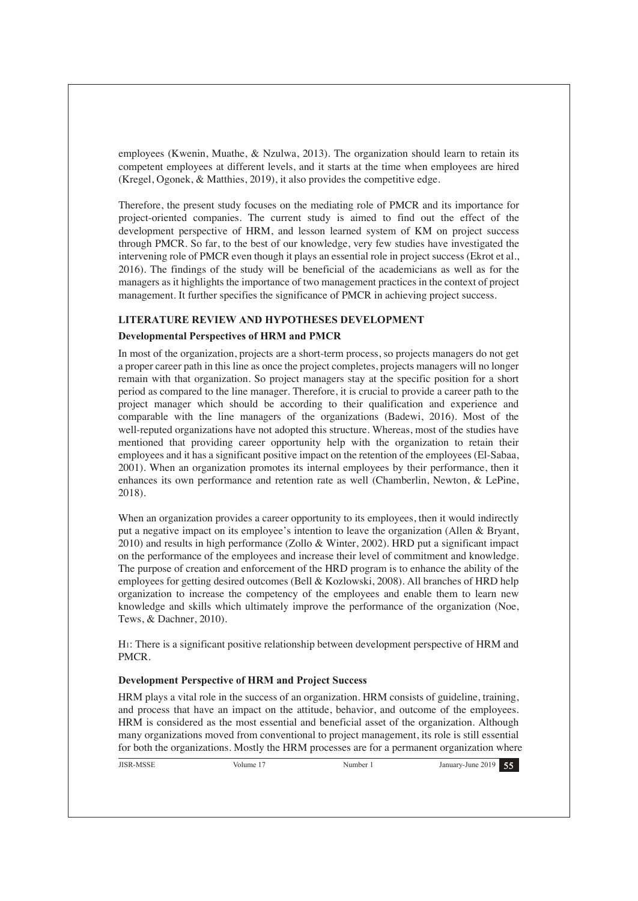employees (Kwenin, Muathe, & Nzulwa, 2013). The organization should learn to retain its competent employees at different levels, and it starts at the time when employees are hired (Kregel, Ogonek, & Matthies, 2019), it also provides the competitive edge.

Therefore, the present study focuses on the mediating role of PMCR and its importance for project-oriented companies. The current study is aimed to find out the effect of the development perspective of HRM, and lesson learned system of KM on project success through PMCR. So far, to the best of our knowledge, very few studies have investigated the intervening role of PMCR even though it plays an essential role in project success (Ekrot et al., 2016). The findings of the study will be beneficial of the academicians as well as for the managers as it highlights the importance of two management practices in the context of project management. It further specifies the significance of PMCR in achieving project success.

# **LITERATURE REVIEW AND HYPOTHESES DEVELOPMENT**

# **Developmental Perspectives of HRM and PMCR**

In most of the organization, projects are a short-term process, so projects managers do not get a proper career path in this line as once the project completes, projects managers will no longer remain with that organization. So project managers stay at the specific position for a short period as compared to the line manager. Therefore, it is crucial to provide a career path to the project manager which should be according to their qualification and experience and comparable with the line managers of the organizations (Badewi, 2016). Most of the well-reputed organizations have not adopted this structure. Whereas, most of the studies have mentioned that providing career opportunity help with the organization to retain their employees and it has a significant positive impact on the retention of the employees (El-Sabaa, 2001). When an organization promotes its internal employees by their performance, then it enhances its own performance and retention rate as well (Chamberlin, Newton, & LePine, 2018).

When an organization provides a career opportunity to its employees, then it would indirectly put a negative impact on its employee's intention to leave the organization (Allen & Bryant, 2010) and results in high performance (Zollo & Winter, 2002). HRD put a significant impact on the performance of the employees and increase their level of commitment and knowledge. The purpose of creation and enforcement of the HRD program is to enhance the ability of the employees for getting desired outcomes (Bell & Kozlowski, 2008). All branches of HRD help organization to increase the competency of the employees and enable them to learn new knowledge and skills which ultimately improve the performance of the organization (Noe, Tews, & Dachner, 2010).

H1: There is a significant positive relationship between development perspective of HRM and PMCR.

#### **Development Perspective of HRM and Project Success**

HRM plays a vital role in the success of an organization. HRM consists of guideline, training, and process that have an impact on the attitude, behavior, and outcome of the employees. HRM is considered as the most essential and beneficial asset of the organization. Although many organizations moved from conventional to project management, its role is still essential for both the organizations. Mostly the HRM processes are for a permanent organization where

| <b>JISR-MSSE</b> | Volume. | Number | 2019<br>January-June |  |
|------------------|---------|--------|----------------------|--|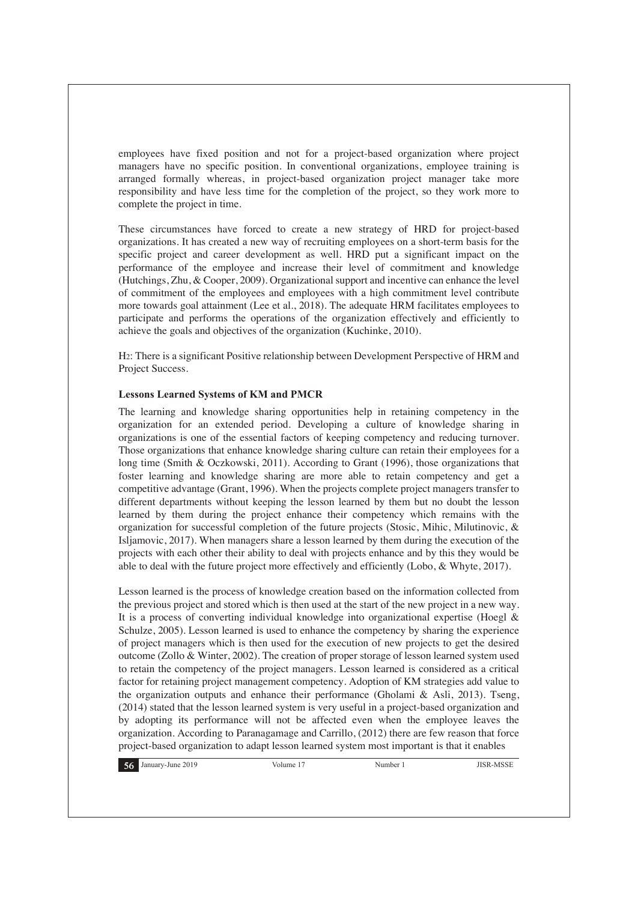employees have fixed position and not for a project-based organization where project managers have no specific position. In conventional organizations, employee training is arranged formally whereas, in project-based organization project manager take more responsibility and have less time for the completion of the project, so they work more to complete the project in time.

These circumstances have forced to create a new strategy of HRD for project-based organizations. It has created a new way of recruiting employees on a short-term basis for the specific project and career development as well. HRD put a significant impact on the performance of the employee and increase their level of commitment and knowledge (Hutchings, Zhu, & Cooper, 2009). Organizational support and incentive can enhance the level of commitment of the employees and employees with a high commitment level contribute more towards goal attainment (Lee et al., 2018). The adequate HRM facilitates employees to participate and performs the operations of the organization effectively and efficiently to achieve the goals and objectives of the organization (Kuchinke, 2010).

H2: There is a significant Positive relationship between Development Perspective of HRM and Project Success.

#### **Lessons Learned Systems of KM and PMCR**

The learning and knowledge sharing opportunities help in retaining competency in the organization for an extended period. Developing a culture of knowledge sharing in organizations is one of the essential factors of keeping competency and reducing turnover. Those organizations that enhance knowledge sharing culture can retain their employees for a long time (Smith & Oczkowski, 2011). According to Grant (1996), those organizations that foster learning and knowledge sharing are more able to retain competency and get a competitive advantage (Grant, 1996). When the projects complete project managers transfer to different departments without keeping the lesson learned by them but no doubt the lesson learned by them during the project enhance their competency which remains with the organization for successful completion of the future projects (Stosic, Mihic, Milutinovic, & Isljamovic, 2017). When managers share a lesson learned by them during the execution of the projects with each other their ability to deal with projects enhance and by this they would be able to deal with the future project more effectively and efficiently (Lobo, & Whyte, 2017).

Lesson learned is the process of knowledge creation based on the information collected from the previous project and stored which is then used at the start of the new project in a new way. It is a process of converting individual knowledge into organizational expertise (Hoegl & Schulze, 2005). Lesson learned is used to enhance the competency by sharing the experience of project managers which is then used for the execution of new projects to get the desired outcome (Zollo & Winter, 2002). The creation of proper storage of lesson learned system used to retain the competency of the project managers. Lesson learned is considered as a critical factor for retaining project management competency. Adoption of KM strategies add value to the organization outputs and enhance their performance (Gholami & Asli, 2013). Tseng, (2014) stated that the lesson learned system is very useful in a project-based organization and by adopting its performance will not be affected even when the employee leaves the organization. According to Paranagamage and Carrillo, (2012) there are few reason that force project-based organization to adapt lesson learned system most important is that it enables

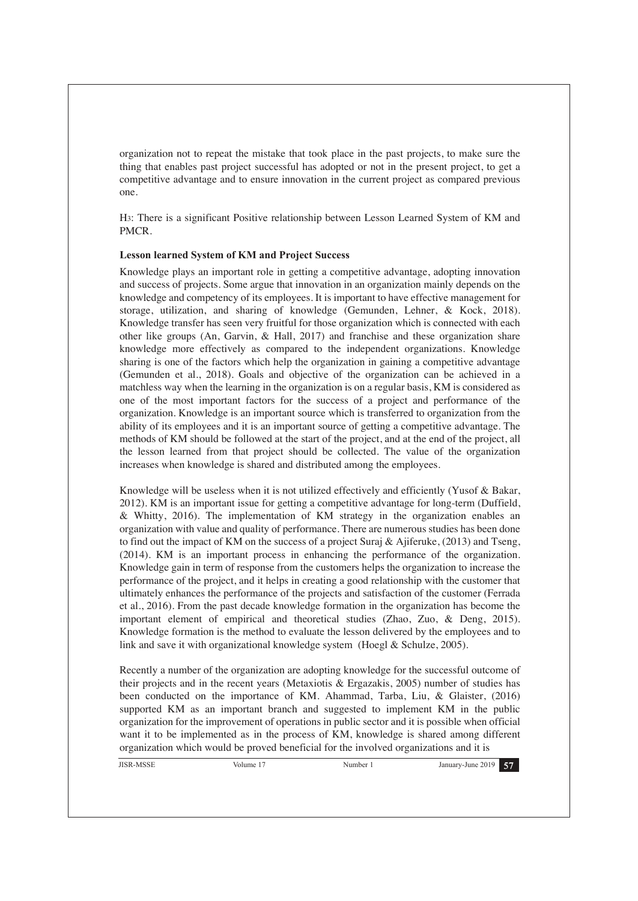organization not to repeat the mistake that took place in the past projects, to make sure the thing that enables past project successful has adopted or not in the present project, to get a competitive advantage and to ensure innovation in the current project as compared previous one.

H3: There is a significant Positive relationship between Lesson Learned System of KM and PMCR.

#### **Lesson learned System of KM and Project Success**

Knowledge plays an important role in getting a competitive advantage, adopting innovation and success of projects. Some argue that innovation in an organization mainly depends on the knowledge and competency of its employees. It is important to have effective management for storage, utilization, and sharing of knowledge (Gemunden, Lehner, & Kock, 2018). Knowledge transfer has seen very fruitful for those organization which is connected with each other like groups (An, Garvin, & Hall, 2017) and franchise and these organization share knowledge more effectively as compared to the independent organizations. Knowledge sharing is one of the factors which help the organization in gaining a competitive advantage (Gemunden et al., 2018). Goals and objective of the organization can be achieved in a matchless way when the learning in the organization is on a regular basis, KM is considered as one of the most important factors for the success of a project and performance of the organization. Knowledge is an important source which is transferred to organization from the ability of its employees and it is an important source of getting a competitive advantage. The methods of KM should be followed at the start of the project, and at the end of the project, all the lesson learned from that project should be collected. The value of the organization increases when knowledge is shared and distributed among the employees.

Knowledge will be useless when it is not utilized effectively and efficiently (Yusof & Bakar, 2012). KM is an important issue for getting a competitive advantage for long-term (Duffield, & Whitty, 2016). The implementation of KM strategy in the organization enables an organization with value and quality of performance. There are numerous studies has been done to find out the impact of KM on the success of a project Suraj & Ajiferuke, (2013) and Tseng, (2014). KM is an important process in enhancing the performance of the organization. Knowledge gain in term of response from the customers helps the organization to increase the performance of the project, and it helps in creating a good relationship with the customer that ultimately enhances the performance of the projects and satisfaction of the customer (Ferrada et al., 2016). From the past decade knowledge formation in the organization has become the important element of empirical and theoretical studies (Zhao, Zuo, & Deng, 2015). Knowledge formation is the method to evaluate the lesson delivered by the employees and to link and save it with organizational knowledge system (Hoegl & Schulze, 2005).

Recently a number of the organization are adopting knowledge for the successful outcome of their projects and in the recent years (Metaxiotis & Ergazakis, 2005) number of studies has been conducted on the importance of KM. Ahammad, Tarba, Liu, & Glaister, (2016) supported KM as an important branch and suggested to implement KM in the public organization for the improvement of operations in public sector and it is possible when official want it to be implemented as in the process of KM, knowledge is shared among different organization which would be proved beneficial for the involved organizations and it is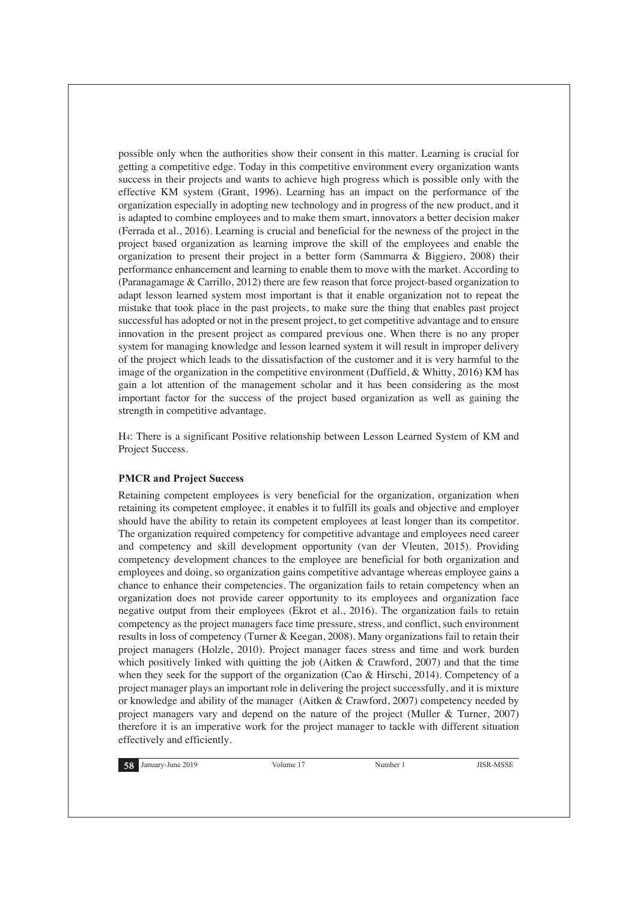possible only when the authorities show their consent in this matter. Learning is crucial for getting a competitive edge. Today in this competitive environment every organization wants success in their projects and wants to achieve high progress which is possible only with the effective KM system (Grant, 1996). Learning has an impact on the performance of the organization especially in adopting new technology and in progress of the new product, and it is adapted to combine employees and to make them smart, innovators a better decision maker (Ferrada et al., 2016). Learning is crucial and beneficial for the newness of the project in the project based organization as learning improve the skill of the employees and enable the organization to present their project in a better form (Sammarra & Biggiero, 2008) their performance enhancement and learning to enable them to move with the market. According to (Paranagamage & Carrillo, 2012) there are few reason that force project-based organization to adapt lesson learned system most important is that it enable organization not to repeat the mistake that took place in the past projects, to make sure the thing that enables past project successful has adopted or not in the present project, to get competitive advantage and to ensure innovation in the present project as compared previous one. When there is no any proper system for managing knowledge and lesson learned system it will result in improper delivery of the project which leads to the dissatisfaction of the customer and it is very harmful to the image of the organization in the competitive environment (Duffield, & Whitty, 2016) KM has gain a lot attention of the management scholar and it has been considering as the most important factor for the success of the project based organization as well as gaining the strength in competitive advantage.

H4: There is a significant Positive relationship between Lesson Learned System of KM and Project Success.

## **PMCR and Project Success**

Retaining competent employees is very beneficial for the organization, organization when retaining its competent employee, it enables it to fulfill its goals and objective and employer should have the ability to retain its competent employees at least longer than its competitor. The organization required competency for competitive advantage and employees need career and competency and skill development opportunity (van der Vleuten, 2015). Providing competency development chances to the employee are beneficial for both organization and employees and doing, so organization gains competitive advantage whereas employee gains a chance to enhance their competencies. The organization fails to retain competency when an organization does not provide career opportunity to its employees and organization face negative output from their employees (Ekrot et al., 2016). The organization fails to retain competency as the project managers face time pressure, stress, and conflict, such environment results in loss of competency (Turner & Keegan, 2008). Many organizations fail to retain their project managers (Holzle, 2010). Project manager faces stress and time and work burden which positively linked with quitting the job (Aitken & Crawford, 2007) and that the time when they seek for the support of the organization (Cao & Hirschi, 2014). Competency of a project manager plays an important role in delivering the project successfully, and it is mixture or knowledge and ability of the manager (Aitken & Crawford, 2007) competency needed by project managers vary and depend on the nature of the project (Muller & Turner, 2007) therefore it is an imperative work for the project manager to tackle with different situation effectively and efficiently.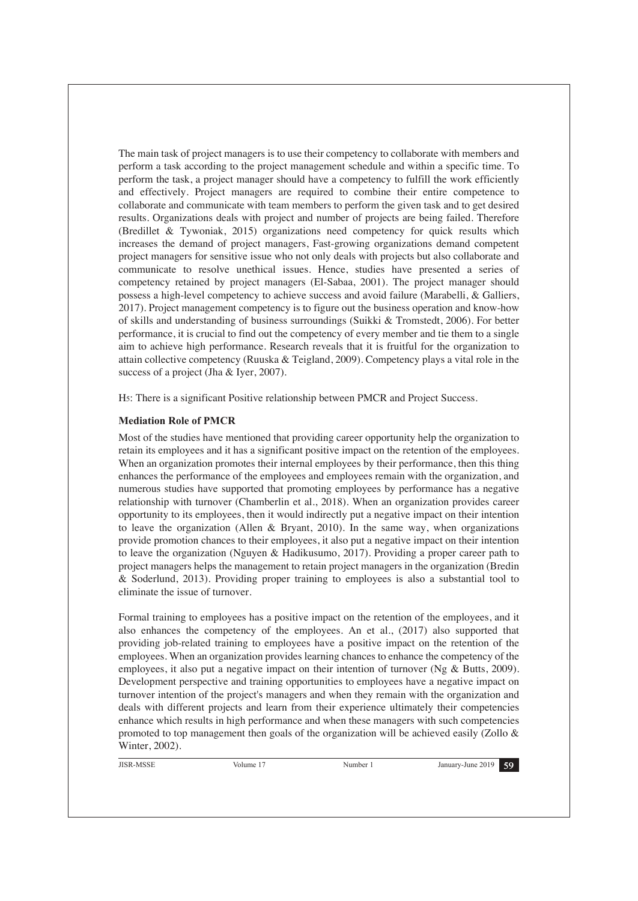The main task of project managers is to use their competency to collaborate with members and perform a task according to the project management schedule and within a specific time. To perform the task, a project manager should have a competency to fulfill the work efficiently and effectively. Project managers are required to combine their entire competence to collaborate and communicate with team members to perform the given task and to get desired results. Organizations deals with project and number of projects are being failed. Therefore (Bredillet & Tywoniak, 2015) organizations need competency for quick results which increases the demand of project managers, Fast-growing organizations demand competent project managers for sensitive issue who not only deals with projects but also collaborate and communicate to resolve unethical issues. Hence, studies have presented a series of competency retained by project managers (El-Sabaa, 2001). The project manager should possess a high-level competency to achieve success and avoid failure (Marabelli, & Galliers, 2017). Project management competency is to figure out the business operation and know-how of skills and understanding of business surroundings (Suikki & Tromstedt, 2006). For better performance, it is crucial to find out the competency of every member and tie them to a single aim to achieve high performance. Research reveals that it is fruitful for the organization to attain collective competency (Ruuska & Teigland, 2009). Competency plays a vital role in the success of a project (Jha & Iyer, 2007).

H5: There is a significant Positive relationship between PMCR and Project Success.

# **Mediation Role of PMCR**

Most of the studies have mentioned that providing career opportunity help the organization to retain its employees and it has a significant positive impact on the retention of the employees. When an organization promotes their internal employees by their performance, then this thing enhances the performance of the employees and employees remain with the organization, and numerous studies have supported that promoting employees by performance has a negative relationship with turnover (Chamberlin et al., 2018). When an organization provides career opportunity to its employees, then it would indirectly put a negative impact on their intention to leave the organization (Allen & Bryant, 2010). In the same way, when organizations provide promotion chances to their employees, it also put a negative impact on their intention to leave the organization (Nguyen & Hadikusumo, 2017). Providing a proper career path to project managers helps the management to retain project managers in the organization (Bredin & Soderlund, 2013). Providing proper training to employees is also a substantial tool to eliminate the issue of turnover.

Formal training to employees has a positive impact on the retention of the employees, and it also enhances the competency of the employees. An et al., (2017) also supported that providing job-related training to employees have a positive impact on the retention of the employees. When an organization provides learning chances to enhance the competency of the employees, it also put a negative impact on their intention of turnover (Ng & Butts, 2009). Development perspective and training opportunities to employees have a negative impact on turnover intention of the project's managers and when they remain with the organization and deals with different projects and learn from their experience ultimately their competencies enhance which results in high performance and when these managers with such competencies promoted to top management then goals of the organization will be achieved easily (Zollo & Winter, 2002).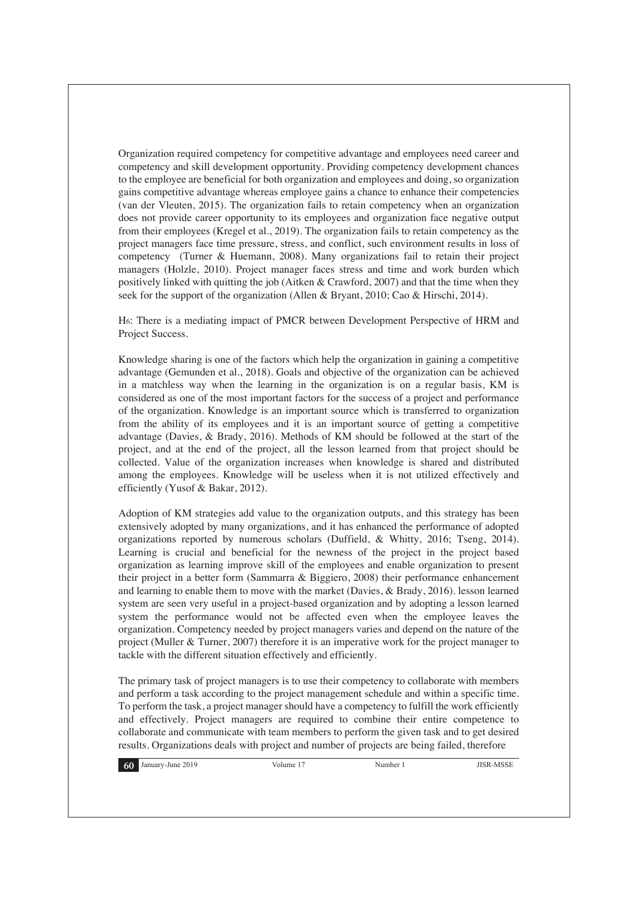Organization required competency for competitive advantage and employees need career and competency and skill development opportunity. Providing competency development chances to the employee are beneficial for both organization and employees and doing, so organization gains competitive advantage whereas employee gains a chance to enhance their competencies (van der Vleuten, 2015). The organization fails to retain competency when an organization does not provide career opportunity to its employees and organization face negative output from their employees (Kregel et al., 2019). The organization fails to retain competency as the project managers face time pressure, stress, and conflict, such environment results in loss of competency (Turner & Huemann, 2008). Many organizations fail to retain their project managers (Holzle, 2010). Project manager faces stress and time and work burden which positively linked with quitting the job (Aitken & Crawford, 2007) and that the time when they seek for the support of the organization (Allen & Bryant, 2010; Cao & Hirschi, 2014).

H6: There is a mediating impact of PMCR between Development Perspective of HRM and Project Success.

Knowledge sharing is one of the factors which help the organization in gaining a competitive advantage (Gemunden et al., 2018). Goals and objective of the organization can be achieved in a matchless way when the learning in the organization is on a regular basis, KM is considered as one of the most important factors for the success of a project and performance of the organization. Knowledge is an important source which is transferred to organization from the ability of its employees and it is an important source of getting a competitive advantage (Davies, & Brady, 2016). Methods of KM should be followed at the start of the project, and at the end of the project, all the lesson learned from that project should be collected. Value of the organization increases when knowledge is shared and distributed among the employees. Knowledge will be useless when it is not utilized effectively and efficiently (Yusof & Bakar, 2012).

Adoption of KM strategies add value to the organization outputs, and this strategy has been extensively adopted by many organizations, and it has enhanced the performance of adopted organizations reported by numerous scholars (Duffield, & Whitty, 2016; Tseng, 2014). Learning is crucial and beneficial for the newness of the project in the project based organization as learning improve skill of the employees and enable organization to present their project in a better form (Sammarra & Biggiero, 2008) their performance enhancement and learning to enable them to move with the market (Davies, & Brady, 2016). lesson learned system are seen very useful in a project-based organization and by adopting a lesson learned system the performance would not be affected even when the employee leaves the organization. Competency needed by project managers varies and depend on the nature of the project (Muller & Turner, 2007) therefore it is an imperative work for the project manager to tackle with the different situation effectively and efficiently.

The primary task of project managers is to use their competency to collaborate with members and perform a task according to the project management schedule and within a specific time. To perform the task, a project manager should have a competency to fulfill the work efficiently and effectively. Project managers are required to combine their entire competence to collaborate and communicate with team members to perform the given task and to get desired results. Organizations deals with project and number of projects are being failed, therefore

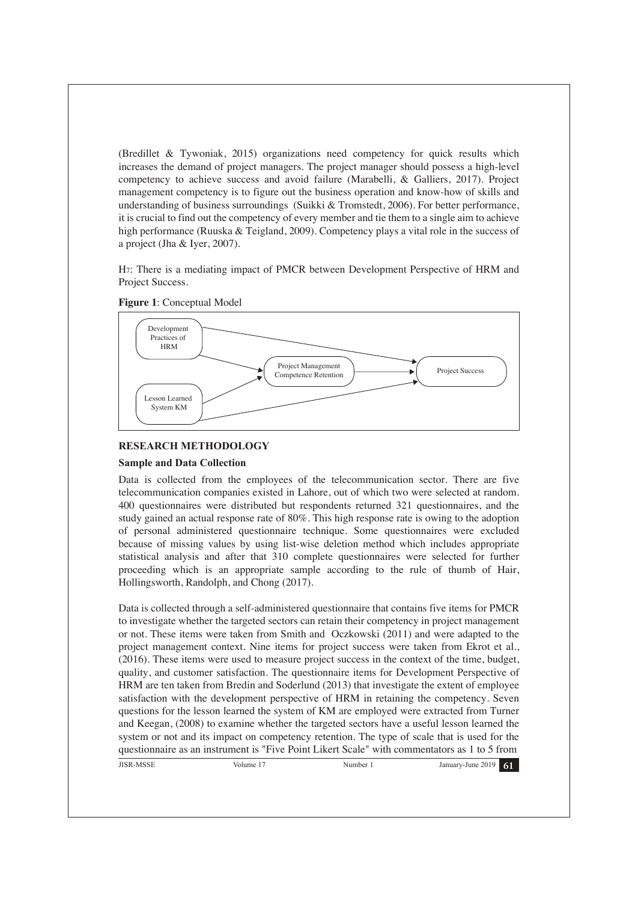(Bredillet & Tywoniak, 2015) organizations need competency for quick results which increases the demand of project managers. The project manager should possess a high-level competency to achieve success and avoid failure (Marabelli, & Galliers, 2017). Project management competency is to figure out the business operation and know-how of skills and understanding of business surroundings (Suikki & Tromstedt, 2006). For better performance, it is crucial to find out the competency of every member and tie them to a single aim to achieve high performance (Ruuska & Teigland, 2009). Competency plays a vital role in the success of a project (Jha & Iyer, 2007).

H7: There is a mediating impact of PMCR between Development Perspective of HRM and Project Success.





## **RESEARCH METHODOLOGY**

#### **Sample and Data Collection**

Data is collected from the employees of the telecommunication sector. There are five telecommunication companies existed in Lahore, out of which two were selected at random. 400 questionnaires were distributed but respondents returned 321 questionnaires, and the study gained an actual response rate of 80%. This high response rate is owing to the adoption of personal administered questionnaire technique. Some questionnaires were excluded because of missing values by using list-wise deletion method which includes appropriate statistical analysis and after that 310 complete questionnaires were selected for further proceeding which is an appropriate sample according to the rule of thumb of Hair, Hollingsworth, Randolph, and Chong (2017).

Data is collected through a self-administered questionnaire that contains five items for PMCR to investigate whether the targeted sectors can retain their competency in project management or not. These items were taken from Smith and Oczkowski (2011) and were adapted to the project management context. Nine items for project success were taken from Ekrot et al., (2016). These items were used to measure project success in the context of the time, budget, quality, and customer satisfaction. The questionnaire items for Development Perspective of HRM are ten taken from Bredin and Soderlund (2013) that investigate the extent of employee satisfaction with the development perspective of HRM in retaining the competency. Seven questions for the lesson learned the system of KM are employed were extracted from Turner and Keegan, (2008) to examine whether the targeted sectors have a useful lesson learned the system or not and its impact on competency retention. The type of scale that is used for the questionnaire as an instrument is "Five Point Likert Scale" with commentators as 1 to 5 from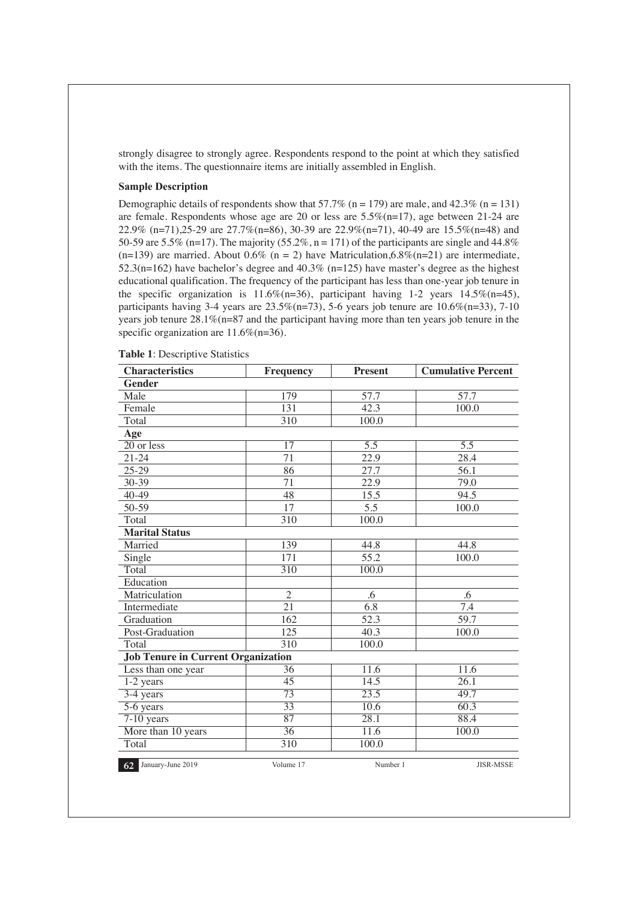strongly disagree to strongly agree. Respondents respond to the point at which they satisfied with the items. The questionnaire items are initially assembled in English.

## **Sample Description**

Demographic details of respondents show that 57.7% (n = 179) are male, and 42.3% (n = 131) are female. Respondents whose age are 20 or less are 5.5%(n=17), age between 21-24 are 22.9% (n=71),25-29 are 27.7%(n=86), 30-39 are 22.9%(n=71), 40-49 are 15.5%(n=48) and 50-59 are 5.5% (n=17). The majority (55.2%, n = 171) of the participants are single and 44.8% (n=139) are married. About 0.6% (n = 2) have Matriculation,6.8%(n=21) are intermediate, 52.3(n=162) have bachelor's degree and 40.3% (n=125) have master's degree as the highest educational qualification. The frequency of the participant has less than one-year job tenure in the specific organization is 11.6%(n=36), participant having 1-2 years  $14.5\%(n=45)$ , participants having 3-4 years are  $23.5\%(n=73)$ , 5-6 years job tenure are  $10.6\%(n=33)$ , 7-10 years job tenure  $28.1\%$  (n=87 and the participant having more than ten years job tenure in the specific organization are 11.6%(n=36).

| <b>Characteristics</b>                    | Frequency        | <b>Present</b>    | <b>Cumulative Percent</b> |
|-------------------------------------------|------------------|-------------------|---------------------------|
| <b>Gender</b>                             |                  |                   |                           |
| Male                                      | 179              | 57.7              | 57.7                      |
| Female                                    | 131              | 42.3              | 100.0                     |
| Total                                     | 310              | 100.0             |                           |
| Age                                       |                  |                   |                           |
| $\overline{20}$ or less                   | 17               | 5.5               | 5.5                       |
| $21 - 24$                                 | 71               | 22.9              | 28.4                      |
| $25 - 29$                                 | 86               | 27.7              | 56.1                      |
| 30-39                                     | 71               | 22.9              | 79.0                      |
| 40-49                                     | 48               | 15.5              | 94.5                      |
| 50-59                                     | 17               | 5.5               | 100.0                     |
| Total                                     | 310              | 100.0             |                           |
| <b>Marital Status</b>                     |                  |                   |                           |
| Married                                   | 139              | 44.8              | 44.8                      |
| Single                                    | 171              | 55.2              | 100.0                     |
| Total                                     | 310              | 100.0             |                           |
| Education                                 |                  |                   |                           |
| Matriculation                             | $\overline{2}$   | .6                | .6                        |
| Intermediate                              | $\overline{21}$  | 6.8               | 7.4                       |
| Graduation                                | 162              | 52.3              | 59.7                      |
| Post-Graduation                           | 125              | 40.3              | 100.0                     |
| Total                                     | 310              | 100.0             |                           |
| <b>Job Tenure in Current Organization</b> |                  |                   |                           |
| Less than one year                        | 36               | 11.6              | 11.6                      |
| $1-2$ years                               | 45               | 14.5              | 26.1                      |
| 3-4 years                                 | $\overline{73}$  | $\overline{23.5}$ | 49.7                      |
| $5-6$ years                               | $\overline{33}$  | 10.6              | 60.3                      |
| $7-10$ years                              | $\overline{87}$  | 28.1              | 88.4                      |
| More than 10 years                        | $\overline{36}$  | 11.6              | 100.0                     |
| Total                                     | $\overline{310}$ | 100.0             |                           |
| 62 January-June 2019                      | Volume 17        | Number 1          | <b>JISR-MSSE</b>          |

**Table 1**: Descriptive Statistics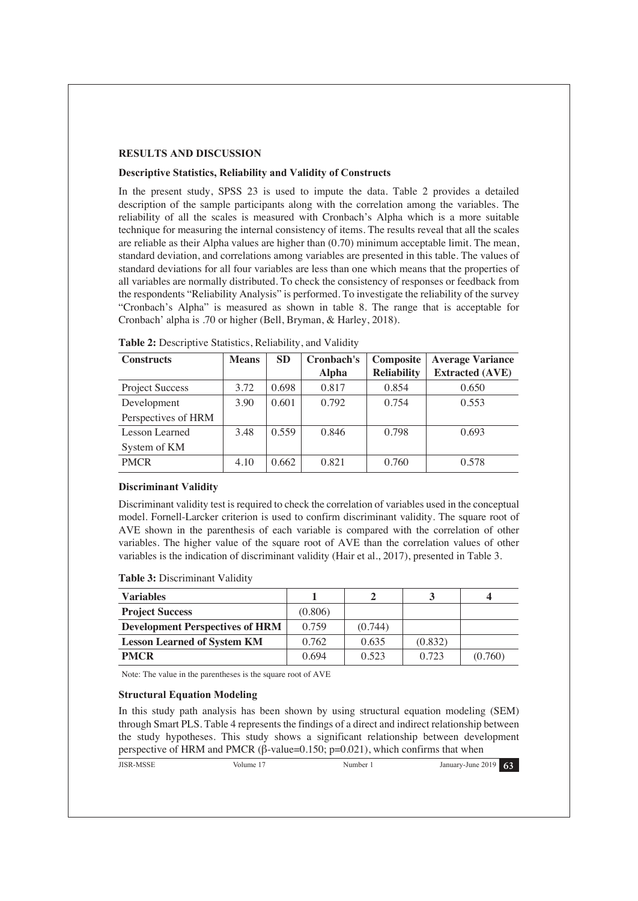## **RESULTS AND DISCUSSION**

#### **Descriptive Statistics, Reliability and Validity of Constructs**

In the present study, SPSS 23 is used to impute the data. Table 2 provides a detailed description of the sample participants along with the correlation among the variables. The reliability of all the scales is measured with Cronbach's Alpha which is a more suitable technique for measuring the internal consistency of items. The results reveal that all the scales are reliable as their Alpha values are higher than (0.70) minimum acceptable limit. The mean, standard deviation, and correlations among variables are presented in this table. The values of standard deviations for all four variables are less than one which means that the properties of all variables are normally distributed. To check the consistency of responses or feedback from the respondents "Reliability Analysis" is performed. To investigate the reliability of the survey "Cronbach's Alpha" is measured as shown in table 8. The range that is acceptable for Cronbach' alpha is .70 or higher (Bell, Bryman, & Harley, 2018).

| <b>Constructs</b>      | <b>Means</b> | <b>SD</b> | Cronbach's   | Composite          | <b>Average Variance</b> |
|------------------------|--------------|-----------|--------------|--------------------|-------------------------|
|                        |              |           | <b>Alpha</b> | <b>Reliability</b> | <b>Extracted (AVE)</b>  |
| <b>Project Success</b> | 3.72         | 0.698     | 0.817        | 0.854              | 0.650                   |
| Development            | 3.90         | 0.601     | 0.792        | 0.754              | 0.553                   |
| Perspectives of HRM    |              |           |              |                    |                         |
| Lesson Learned         | 3.48         | 0.559     | 0.846        | 0.798              | 0.693                   |
| System of KM           |              |           |              |                    |                         |
| <b>PMCR</b>            | 4.10         | 0.662     | 0.821        | 0.760              | 0.578                   |

**Table 2:** Descriptive Statistics, Reliability, and Validity

#### **Discriminant Validity**

Discriminant validity test is required to check the correlation of variables used in the conceptual model. Fornell-Larcker criterion is used to confirm discriminant validity. The square root of AVE shown in the parenthesis of each variable is compared with the correlation of other variables. The higher value of the square root of AVE than the correlation values of other variables is the indication of discriminant validity (Hair et al., 2017), presented in Table 3.

**Table 3:** Discriminant Validity

| <b>Variables</b>                       |         |         |         |         |
|----------------------------------------|---------|---------|---------|---------|
| <b>Project Success</b>                 | (0.806) |         |         |         |
| <b>Development Perspectives of HRM</b> | 0.759   | (0.744) |         |         |
| <b>Lesson Learned of System KM</b>     | 0.762   | 0.635   | (0.832) |         |
| <b>PMCR</b>                            | 0.694   | 0.523   | 0.723   | (0.760) |

Note: The value in the parentheses is the square root of AVE

#### **Structural Equation Modeling**

In this study path analysis has been shown by using structural equation modeling (SEM) through Smart PLS. Table 4 represents the findings of a direct and indirect relationship between the study hypotheses. This study shows a significant relationship between development perspective of HRM and PMCR ( $\beta$ -value=0.150; p=0.021), which confirms that when

|  | <b>JISR-MSSE</b> | Volume . | Number | 63<br>January-June 2019 |
|--|------------------|----------|--------|-------------------------|
|--|------------------|----------|--------|-------------------------|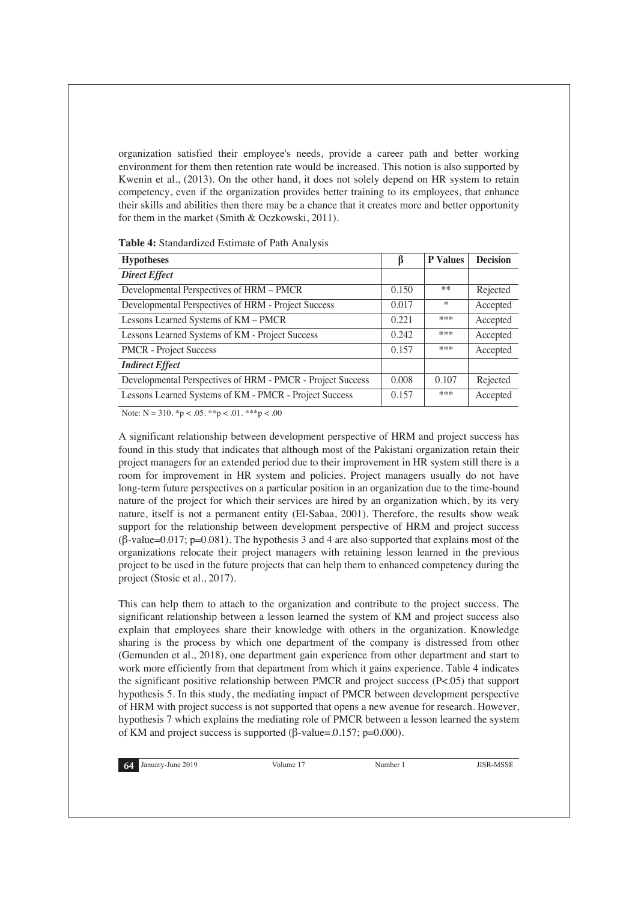organization satisfied their employee's needs, provide a career path and better working environment for them then retention rate would be increased. This notion is also supported by Kwenin et al., (2013). On the other hand, it does not solely depend on HR system to retain competency, even if the organization provides better training to its employees, that enhance their skills and abilities then there may be a chance that it creates more and better opportunity for them in the market (Smith & Oczkowski, 2011).

**Table 4:** Standardized Estimate of Path Analysis

| <b>Hypotheses</b>                                          | ß     | <b>P</b> Values | <b>Decision</b> |
|------------------------------------------------------------|-------|-----------------|-----------------|
| <b>Direct Effect</b>                                       |       |                 |                 |
| Developmental Perspectives of HRM - PMCR                   | 0.150 | **              | Rejected        |
| Developmental Perspectives of HRM - Project Success        | 0.017 | $\ast$          | Accepted        |
| Lessons Learned Systems of KM - PMCR                       | 0.221 | ***             | Accepted        |
| Lessons Learned Systems of KM - Project Success            | 0.242 | ***             | Accepted        |
| <b>PMCR</b> - Project Success                              | 0.157 | ***             | Accepted        |
| <b>Indirect Effect</b>                                     |       |                 |                 |
| Developmental Perspectives of HRM - PMCR - Project Success | 0.008 | 0.107           | Rejected        |
| Lessons Learned Systems of KM - PMCR - Project Success     | 0.157 | ***             | Accepted        |

Note:  $N = 310.$  \*p < .05. \*\*p < .01. \*\*\*p < .00

A significant relationship between development perspective of HRM and project success has found in this study that indicates that although most of the Pakistani organization retain their project managers for an extended period due to their improvement in HR system still there is a room for improvement in HR system and policies. Project managers usually do not have long-term future perspectives on a particular position in an organization due to the time-bound nature of the project for which their services are hired by an organization which, by its very nature, itself is not a permanent entity (El-Sabaa, 2001). Therefore, the results show weak support for the relationship between development perspective of HRM and project success  $(\beta$ -value=0.017; p=0.081). The hypothesis 3 and 4 are also supported that explains most of the organizations relocate their project managers with retaining lesson learned in the previous project to be used in the future projects that can help them to enhanced competency during the project (Stosic et al., 2017).

This can help them to attach to the organization and contribute to the project success. The significant relationship between a lesson learned the system of KM and project success also explain that employees share their knowledge with others in the organization. Knowledge sharing is the process by which one department of the company is distressed from other (Gemunden et al., 2018), one department gain experience from other department and start to work more efficiently from that department from which it gains experience. Table 4 indicates the significant positive relationship between PMCR and project success (P<.05) that support hypothesis 5. In this study, the mediating impact of PMCR between development perspective of HRM with project success is not supported that opens a new avenue for research. However, hypothesis 7 which explains the mediating role of PMCR between a lesson learned the system of KM and project success is supported ( $\beta$ -value=.0.157; p=0.000).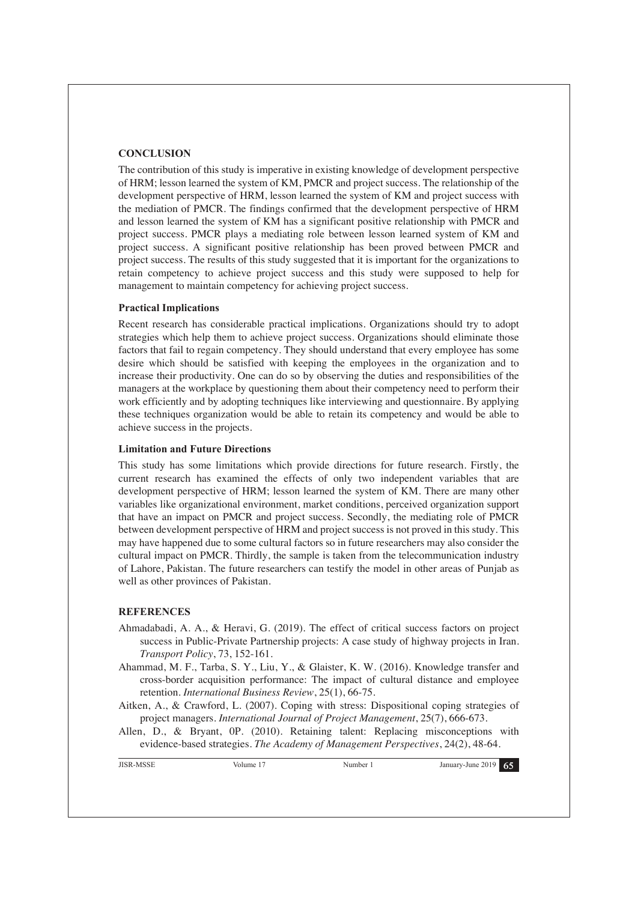## **CONCLUSION**

The contribution of this study is imperative in existing knowledge of development perspective of HRM; lesson learned the system of KM, PMCR and project success. The relationship of the development perspective of HRM, lesson learned the system of KM and project success with the mediation of PMCR. The findings confirmed that the development perspective of HRM and lesson learned the system of KM has a significant positive relationship with PMCR and project success. PMCR plays a mediating role between lesson learned system of KM and project success. A significant positive relationship has been proved between PMCR and project success. The results of this study suggested that it is important for the organizations to retain competency to achieve project success and this study were supposed to help for management to maintain competency for achieving project success.

## **Practical Implications**

Recent research has considerable practical implications. Organizations should try to adopt strategies which help them to achieve project success. Organizations should eliminate those factors that fail to regain competency. They should understand that every employee has some desire which should be satisfied with keeping the employees in the organization and to increase their productivity. One can do so by observing the duties and responsibilities of the managers at the workplace by questioning them about their competency need to perform their work efficiently and by adopting techniques like interviewing and questionnaire. By applying these techniques organization would be able to retain its competency and would be able to achieve success in the projects.

#### **Limitation and Future Directions**

This study has some limitations which provide directions for future research. Firstly, the current research has examined the effects of only two independent variables that are development perspective of HRM; lesson learned the system of KM. There are many other variables like organizational environment, market conditions, perceived organization support that have an impact on PMCR and project success. Secondly, the mediating role of PMCR between development perspective of HRM and project success is not proved in this study. This may have happened due to some cultural factors so in future researchers may also consider the cultural impact on PMCR. Thirdly, the sample is taken from the telecommunication industry of Lahore, Pakistan. The future researchers can testify the model in other areas of Punjab as well as other provinces of Pakistan.

#### **REFERENCES**

- Ahmadabadi, A. A., & Heravi, G. (2019). The effect of critical success factors on project success in Public-Private Partnership projects: A case study of highway projects in Iran. *Transport Policy*, 73, 152-161.
- Ahammad, M. F., Tarba, S. Y., Liu, Y., & Glaister, K. W. (2016). Knowledge transfer and cross-border acquisition performance: The impact of cultural distance and employee retention. *International Business Review*, 25(1), 66-75.
- Aitken, A., & Crawford, L. (2007). Coping with stress: Dispositional coping strategies of project managers. *International Journal of Project Management*, 25(7), 666-673.
- Allen, D., & Bryant, 0P. (2010). Retaining talent: Replacing misconceptions with evidence-based strategies. *The Academy of Management Perspectives*, 24(2), 48-64.

```
JISR-MSSE Volume 17 Number 1 January-June 2019 65
```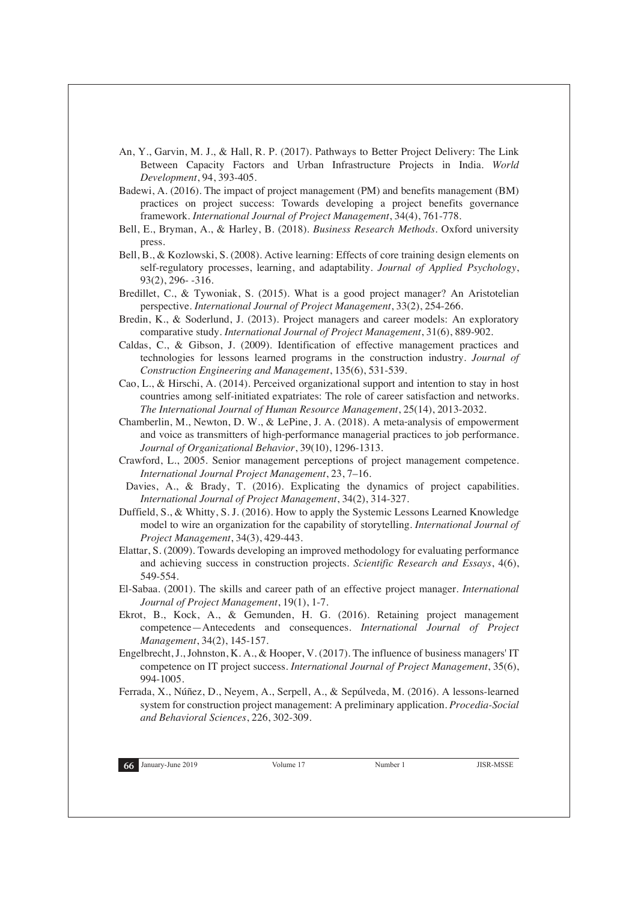- An, Y., Garvin, M. J., & Hall, R. P. (2017). Pathways to Better Project Delivery: The Link Between Capacity Factors and Urban Infrastructure Projects in India. *World Development*, 94, 393-405.
- Badewi, A. (2016). The impact of project management (PM) and benefits management (BM) practices on project success: Towards developing a project benefits governance framework. *International Journal of Project Management*, 34(4), 761-778.
- Bell, E., Bryman, A., & Harley, B. (2018). *Business Research Methods*. Oxford university press.
- Bell, B., & Kozlowski, S. (2008). Active learning: Effects of core training design elements on self-regulatory processes, learning, and adaptability. *Journal of Applied Psychology*, 93(2), 296- -316.
- Bredillet, C., & Tywoniak, S. (2015). What is a good project manager? An Aristotelian perspective. *International Journal of Project Management*, 33(2), 254-266.
- Bredin, K., & Soderlund, J. (2013). Project managers and career models: An exploratory comparative study. *International Journal of Project Management*, 31(6), 889-902.
- Caldas, C., & Gibson, J. (2009). Identification of effective management practices and technologies for lessons learned programs in the construction industry. *Journal of Construction Engineering and Management*, 135(6), 531-539.
- Cao, L., & Hirschi, A. (2014). Perceived organizational support and intention to stay in host countries among self-initiated expatriates: The role of career satisfaction and networks. *The International Journal of Human Resource Management*, 25(14), 2013-2032.
- Chamberlin, M., Newton, D. W., & LePine, J. A. (2018). A meta-analysis of empowerment and voice as transmitters of high‐performance managerial practices to job performance. *Journal of Organizational Behavior*, 39(10), 1296-1313.
- Crawford, L., 2005. Senior management perceptions of project management competence. *International Journal Project Management*, 23, 7–16.
- Davies, A., & Brady, T. (2016). Explicating the dynamics of project capabilities. *International Journal of Project Management*, 34(2), 314-327.
- Duffield, S., & Whitty, S. J. (2016). How to apply the Systemic Lessons Learned Knowledge model to wire an organization for the capability of storytelling. *International Journal of Project Management*, 34(3), 429-443.
- Elattar, S. (2009). Towards developing an improved methodology for evaluating performance and achieving success in construction projects. *Scientific Research and Essays*, 4(6), 549-554.
- El-Sabaa. (2001). The skills and career path of an effective project manager. *International Journal of Project Management*, 19(1), 1-7.
- Ekrot, B., Kock, A., & Gemunden, H. G. (2016). Retaining project management competence—Antecedents and consequences. *International Journal of Project Management*, 34(2), 145-157.
- Engelbrecht, J., Johnston, K. A., & Hooper, V. (2017). The influence of business managers' IT competence on IT project success. *International Journal of Project Management*, 35(6), 994-1005.
- Ferrada, X., Núñez, D., Neyem, A., Serpell, A., & Sepúlveda, M. (2016). A lessons-learned system for construction project management: A preliminary application. *Procedia-Social and Behavioral Sciences*, 226, 302-309.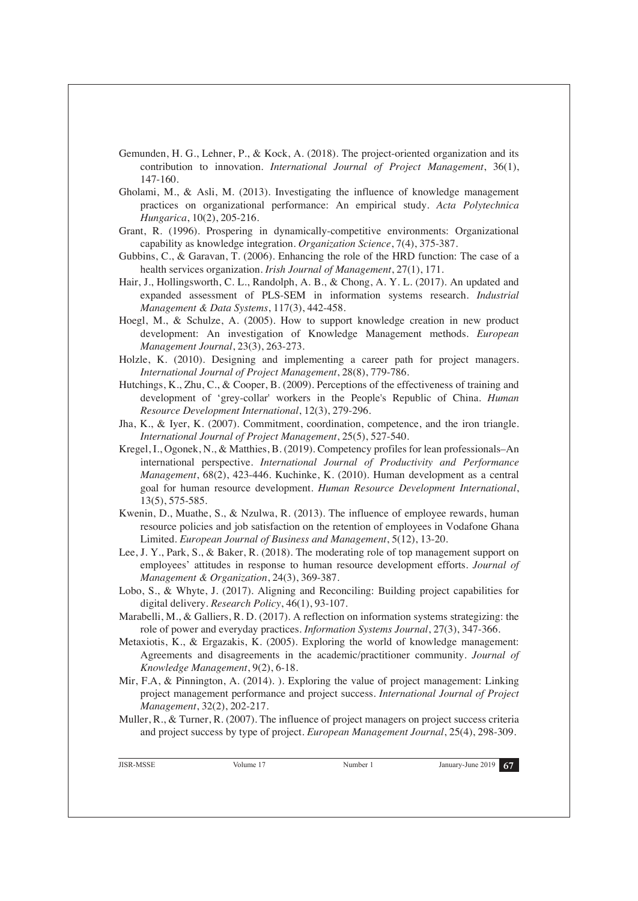- Gemunden, H. G., Lehner, P., & Kock, A. (2018). The project-oriented organization and its contribution to innovation. *International Journal of Project Management*, 36(1), 147-160.
- Gholami, M., & Asli, M. (2013). Investigating the influence of knowledge management practices on organizational performance: An empirical study. *Acta Polytechnica Hungarica*, 10(2), 205-216.
- Grant, R. (1996). Prospering in dynamically-competitive environments: Organizational capability as knowledge integration. *Organization Science*, 7(4), 375-387.
- Gubbins, C., & Garavan, T. (2006). Enhancing the role of the HRD function: The case of a health services organization. *Irish Journal of Management*, 27(1), 171.
- Hair, J., Hollingsworth, C. L., Randolph, A. B., & Chong, A. Y. L. (2017). An updated and expanded assessment of PLS-SEM in information systems research. *Industrial Management & Data Systems*, 117(3), 442-458.
- Hoegl, M., & Schulze, A. (2005). How to support knowledge creation in new product development: An investigation of Knowledge Management methods. *European Management Journal*, 23(3), 263-273.
- Holzle, K. (2010). Designing and implementing a career path for project managers. *International Journal of Project Management*, 28(8), 779-786.
- Hutchings, K., Zhu, C., & Cooper, B. (2009). Perceptions of the effectiveness of training and development of 'grey-collar' workers in the People's Republic of China. *Human Resource Development International*, 12(3), 279-296.
- Jha, K., & Iyer, K. (2007). Commitment, coordination, competence, and the iron triangle. *International Journal of Project Management*, 25(5), 527-540.
- Kregel, I., Ogonek, N., & Matthies, B. (2019). Competency profiles for lean professionals–An international perspective. *International Journal of Productivity and Performance Management*, 68(2), 423-446. Kuchinke, K. (2010). Human development as a central goal for human resource development. *Human Resource Development International*, 13(5), 575-585.
- Kwenin, D., Muathe, S., & Nzulwa, R. (2013). The influence of employee rewards, human resource policies and job satisfaction on the retention of employees in Vodafone Ghana Limited. *European Journal of Business and Management*, 5(12), 13-20.
- Lee, J. Y., Park, S., & Baker, R. (2018). The moderating role of top management support on employees' attitudes in response to human resource development efforts. *Journal of Management & Organization*, 24(3), 369-387.
- Lobo, S., & Whyte, J. (2017). Aligning and Reconciling: Building project capabilities for digital delivery. *Research Policy*, 46(1), 93-107.
- Marabelli, M., & Galliers, R. D. (2017). A reflection on information systems strategizing: the role of power and everyday practices. *Information Systems Journal*, 27(3), 347-366.
- Metaxiotis, K., & Ergazakis, K. (2005). Exploring the world of knowledge management: Agreements and disagreements in the academic/practitioner community. *Journal of Knowledge Management*, 9(2), 6-18.
- Mir, F.A, & Pinnington, A. (2014). ). Exploring the value of project management: Linking project management performance and project success. *International Journal of Project Management*, 32(2), 202-217.
- Muller, R., & Turner, R. (2007). The influence of project managers on project success criteria and project success by type of project. *European Management Journal*, 25(4), 298-309.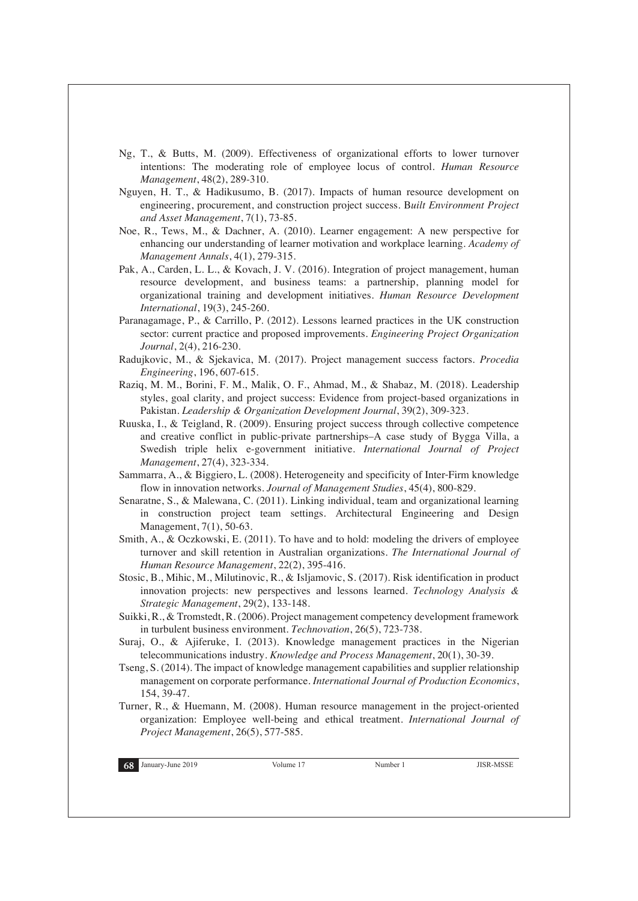- Ng, T., & Butts, M. (2009). Effectiveness of organizational efforts to lower turnover intentions: The moderating role of employee locus of control. *Human Resource Management*, 48(2), 289-310.
- Nguyen, H. T., & Hadikusumo, B. (2017). Impacts of human resource development on engineering, procurement, and construction project success. B*uilt Environment Project and Asset Management*, 7(1), 73-85.
- Noe, R., Tews, M., & Dachner, A. (2010). Learner engagement: A new perspective for enhancing our understanding of learner motivation and workplace learning. *Academy of Management Annals*, 4(1), 279-315.
- Pak, A., Carden, L. L., & Kovach, J. V. (2016). Integration of project management, human resource development, and business teams: a partnership, planning model for organizational training and development initiatives. *Human Resource Development International*, 19(3), 245-260.
- Paranagamage, P., & Carrillo, P. (2012). Lessons learned practices in the UK construction sector: current practice and proposed improvements. *Engineering Project Organization Journal*, 2(4), 216-230.
- Radujkovic, M., & Sjekavica, M. (2017). Project management success factors. *Procedia Engineering*, 196, 607-615.
- Raziq, M. M., Borini, F. M., Malik, O. F., Ahmad, M., & Shabaz, M. (2018). Leadership styles, goal clarity, and project success: Evidence from project-based organizations in Pakistan. *Leadership & Organization Development Journal*, 39(2), 309-323.
- Ruuska, I., & Teigland, R. (2009). Ensuring project success through collective competence and creative conflict in public-private partnerships–A case study of Bygga Villa, a Swedish triple helix e-government initiative. *International Journal of Project Management*, 27(4), 323-334.
- Sammarra, A., & Biggiero, L. (2008). Heterogeneity and specificity of Inter‐Firm knowledge flow in innovation networks. *Journal of Management Studies*, 45(4), 800-829.
- Senaratne, S., & Malewana, C. (2011). Linking individual, team and organizational learning in construction project team settings. Architectural Engineering and Design Management, 7(1), 50-63.
- Smith, A., & Oczkowski, E. (2011). To have and to hold: modeling the drivers of employee turnover and skill retention in Australian organizations. *The International Journal of Human Resource Management*, 22(2), 395-416.
- Stosic, B., Mihic, M., Milutinovic, R., & Isljamovic, S. (2017). Risk identification in product innovation projects: new perspectives and lessons learned. *Technology Analysis & Strategic Management*, 29(2), 133-148.
- Suikki, R., & Tromstedt, R. (2006). Project management competency development framework in turbulent business environment. *Technovation*, 26(5), 723-738.
- Suraj, O., & Ajiferuke, I. (2013). Knowledge management practices in the Nigerian telecommunications industry. *Knowledge and Process Management*, 20(1), 30-39.
- Tseng, S. (2014). The impact of knowledge management capabilities and supplier relationship management on corporate performance. *International Journal of Production Economics*, 154, 39-47.

Turner, R., & Huemann, M. (2008). Human resource management in the project-oriented organization: Employee well-being and ethical treatment. *International Journal of Project Management*, 26(5), 577-585.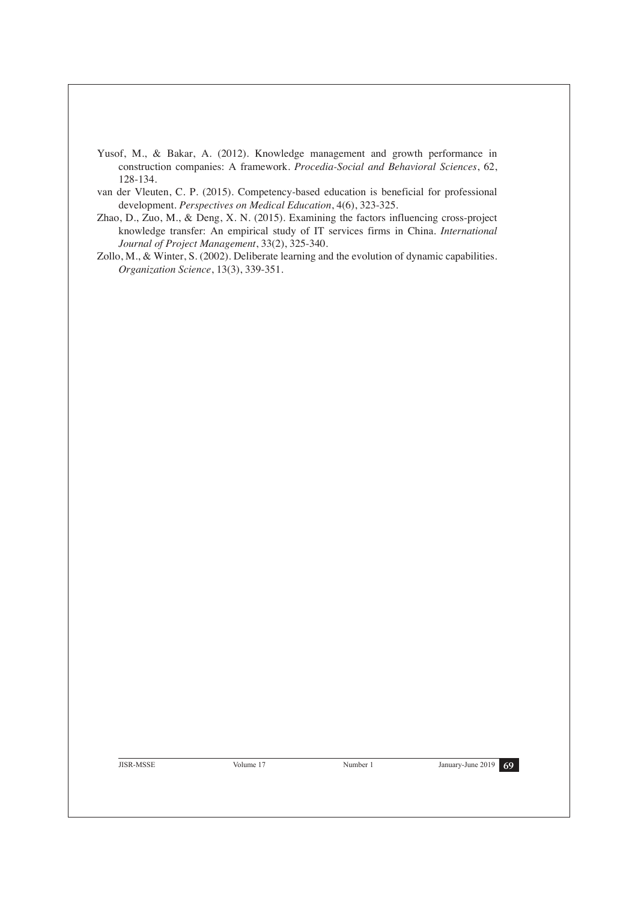- Yusof, M., & Bakar, A. (2012). Knowledge management and growth performance in construction companies: A framework. *Procedia-Social and Behavioral Sciences*, 62, 128-134.
- van der Vleuten, C. P. (2015). Competency-based education is beneficial for professional development. *Perspectives on Medical Education*, 4(6), 323-325.
- Zhao, D., Zuo, M., & Deng, X. N. (2015). Examining the factors influencing cross-project knowledge transfer: An empirical study of IT services firms in China. *International Journal of Project Management*, 33(2), 325-340.
- Zollo, M., & Winter, S. (2002). Deliberate learning and the evolution of dynamic capabilities. *Organization Science*, 13(3), 339-351.